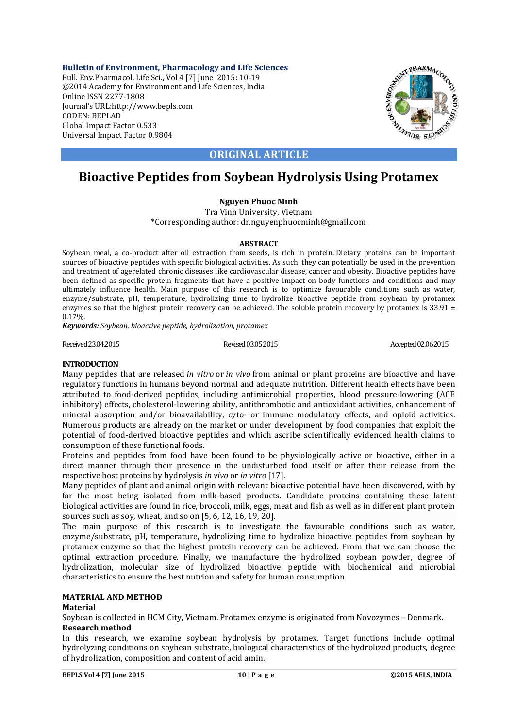**Bulletin of Environment, Pharmacology and Life Sciences** Bull. Env.Pharmacol. Life Sci., Vol 4 [7] June 2015: 10-19 ©2014 Academy for Environment and Life Sciences, India Online ISSN 2277-1808 Journal's URL:http://www.bepls.com CODEN: BEPLAD Global Impact Factor 0.533 Universal Impact Factor 0.9804



# **ORIGINAL ARTICLE**

# **Bioactive Peptides from Soybean Hydrolysis Using Protamex**

# **Nguyen Phuoc Minh**

Tra Vinh University, Vietnam \*Corresponding author: dr.nguyenphuocminh@gmail.com

# **ABSTRACT**

Soybean meal, a co-product after oil extraction from seeds, is rich in protein. Dietary proteins can be important sources of bioactive peptides with specific biological activities. As such, they can potentially be used in the prevention and treatment of agerelated chronic diseases like cardiovascular disease, cancer and obesity. Bioactive peptides have been defined as specific protein fragments that have a positive impact on body functions and conditions and may ultimately influence health. Main purpose of this research is to optimize favourable conditions such as water, enzyme/substrate, pH, temperature, hydrolizing time to hydrolize bioactive peptide from soybean by protamex enzymes so that the highest protein recovery can be achieved. The soluble protein recovery by protamex is  $33.91 \pm$ 0.17%.

*Keywords: Soybean, bioactive peptide, hydrolization, protamex*

Received 23.04.2015 Revised 03.05.2015 Revised 03.05.2015 Accepted 02.06.2015

# **INTRODUCTION**

Many peptides that are released *in vitro* or *in vivo* from animal or plant proteins are bioactive and have regulatory functions in humans beyond normal and adequate nutrition. Different health effects have been attributed to food-derived peptides, including antimicrobial properties, blood pressure-lowering (ACE inhibitory) effects, cholesterol-lowering ability, antithrombotic and antioxidant activities, enhancement of mineral absorption and/or bioavailability, cyto- or immune modulatory effects, and opioid activities. Numerous products are already on the market or under development by food companies that exploit the potential of food-derived bioactive peptides and which ascribe scientifically evidenced health claims to consumption of these functional foods.

Proteins and peptides from food have been found to be physiologically active or bioactive, either in a direct manner through their presence in the undisturbed food itself or after their release from the respective host proteins by hydrolysis *in vivo* or *in vitro* [17].

Many peptides of plant and animal origin with relevant bioactive potential have been discovered, with by far the most being isolated from milk-based products. Candidate proteins containing these latent biological activities are found in rice, broccoli, milk, eggs, meat and fish as well as in different plant protein sources such as soy, wheat, and so on [5, 6, 12, 16, 19, 20].

The main purpose of this research is to investigate the favourable conditions such as water, enzyme/substrate, pH, temperature, hydrolizing time to hydrolize bioactive peptides from soybean by protamex enzyme so that the highest protein recovery can be achieved. From that we can choose the optimal extraction procedure. Finally, we manufacture the hydrolized soybean powder, degree of hydrolization, molecular size of hydrolized bioactive peptide with biochemical and microbial characteristics to ensure the best nutrion and safety for human consumption.

# **MATERIAL AND METHOD**

# **Material**

Soybean is collected in HCM City, Vietnam. Protamex enzyme is originated from Novozymes – Denmark. **Research method**

In this research, we examine soybean hydrolysis by protamex. Target functions include optimal hydrolyzing conditions on soybean substrate, biological characteristics of the hydrolized products, degree of hydrolization, composition and content of acid amin.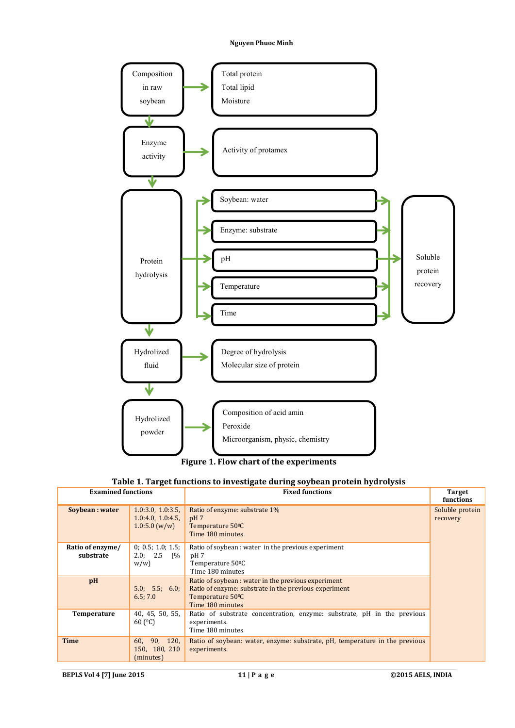



# **Table 1. Target functions to investigate during soybean protein hydrolysis**

| <b>Examined functions</b><br><b>Fixed functions</b> |                                                       | <b>Target</b><br>functions                                                                                                                           |                             |
|-----------------------------------------------------|-------------------------------------------------------|------------------------------------------------------------------------------------------------------------------------------------------------------|-----------------------------|
| Soybean : water                                     | 1.0:3.0, 1.0:3.5,<br>1.0:4.0, 1.0:4.5<br>1.0:5.0(w/w) | Ratio of enzyme: substrate 1%<br>pH <sub>7</sub><br>Temperature 50 <sup>o</sup> C<br>Time 180 minutes                                                | Soluble protein<br>recovery |
| Ratio of enzyme/<br>substrate                       | 0; 0.5; 1.0; 1.5;<br>2.0; 2.5 (%)<br>w/w              | Ratio of soybean : water in the previous experiment<br>pH 7<br>Temperature 50°C<br>Time 180 minutes                                                  |                             |
| pH                                                  | 5.0; 5.5; 6.0;<br>6.5; 7.0                            | Ratio of soybean : water in the previous experiment<br>Ratio of enzyme: substrate in the previous experiment<br>Temperature 50°C<br>Time 180 minutes |                             |
| Temperature                                         | 40, 45, 50, 55,<br>60 $(C)$                           | Ratio of substrate concentration, enzyme: substrate, pH in the previous<br>experiments.<br>Time 180 minutes                                          |                             |
| <b>Time</b>                                         | 60, 90, 120,<br>150, 180, 210<br>(minutes)            | Ratio of soybean: water, enzyme: substrate, pH, temperature in the previous<br>experiments.                                                          |                             |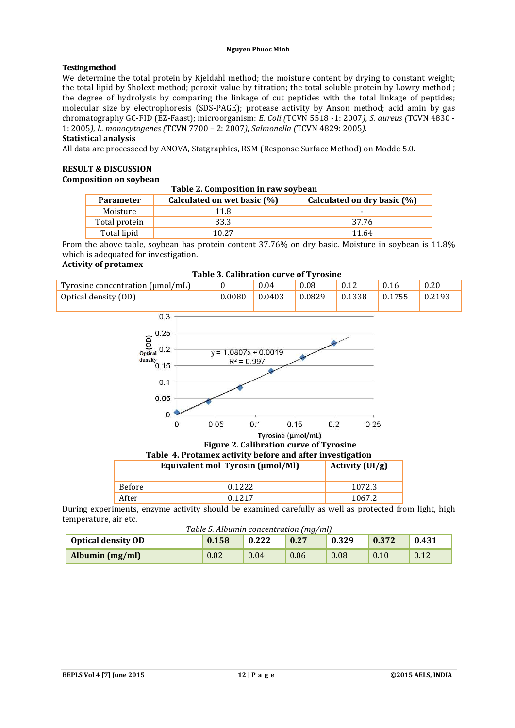# **Testingmethod**

We determine the total protein by Kieldahl method; the moisture content by drying to constant weight; the total lipid by Sholext method; peroxit value by titration; the total soluble protein by Lowry method ; the degree of hydrolysis by comparing the linkage of cut peptides with the total linkage of peptides; molecular size by electrophoresis (SDS-PAGE); protease activity by Anson method; acid amin by gas chromatography GC-FID (EZ-Faast); microorganism: *E. Coli (*TCVN 5518 -1: 2007*), S. aureus (*TCVN 4830 - 1: 2005*), L. monocytogenes (*TCVN 7700 – 2: 2007*), Salmonella (*TCVN 4829: 2005*).*

# **Statistical analysis**

All data are processeed by ANOVA, Statgraphics, RSM (Response Surface Method) on Modde 5.0.

# **RESULT & DISCUSSION**

# **Composition on soybean**

# **Table 2. Composition in raw soybean**

| <b>Parameter</b> | Calculated on wet basic (%) | Calculated on dry basic (%) |
|------------------|-----------------------------|-----------------------------|
| Moisture         | 11.8                        | -                           |
| Total protein    | 33.3                        | 37.76                       |
| Total lipid      | 10 27                       | 11 64                       |

From the above table, soybean has protein content 37.76% on dry basic. Moisture in soybean is 11.8% which is adequated for investigation.

# **Activity of protamex**



#### **Table 3. Calibration curve of Tyrosine**

|        | Table 4. Protamex activity before and after investigation |                   |  |  |  |
|--------|-----------------------------------------------------------|-------------------|--|--|--|
|        | Equivalent mol Tyrosin (µmol/Ml)                          | Activity $(UI/g)$ |  |  |  |
| Before | 0.1222                                                    | 1072.3            |  |  |  |
| After  | 0.1217                                                    | 1067.2            |  |  |  |

During experiments, enzyme activity should be examined carefully as well as protected from light, high temperature, air etc.

| Table 5. Albumin concentration (mg/ml) |
|----------------------------------------|
|----------------------------------------|

| <b>Optical density OD</b> | $10000$ seems all the soliton above $\lfloor m, m \rfloor$<br>0.158 | 0.222 | 0.27 | 0.329 | 0.372 | 0.431 |
|---------------------------|---------------------------------------------------------------------|-------|------|-------|-------|-------|
| Albumin (mg/ml)           | 0.02                                                                | 0.04  | 0.06 | 0.08  | 0.10  | 0.12  |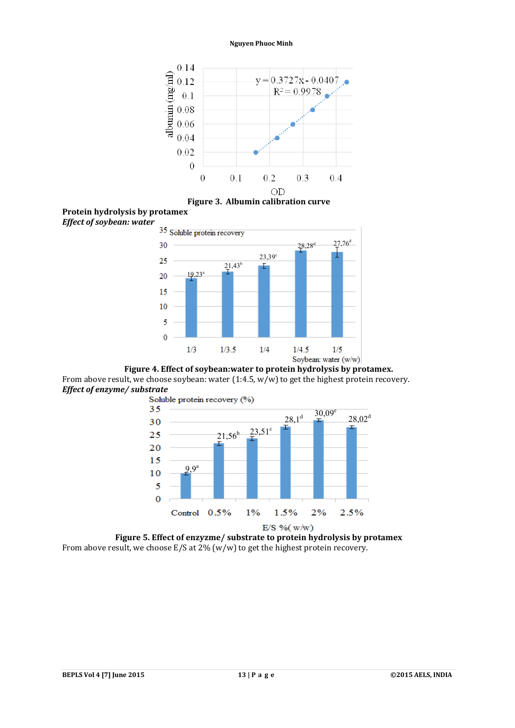

**Figure 3. Albumin calibration curve**





**Figure 4. Effect of soybean:water to protein hydrolysis by protamex.** From above result, we choose soybean: water  $(1:4.5, w/w)$  to get the highest protein recovery. *Effect of enzyme/ substrate*



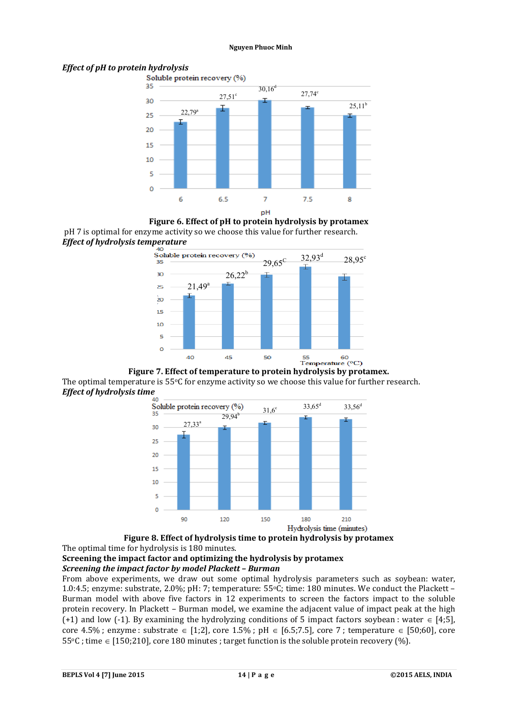# *Effect of pH to protein hydrolysis*



**Figure 6. Effect of pH to protein hydrolysis by protamex** pH 7 is optimal for enzyme activity so we choose this value for further research. *Effect of hydrolysis temperature* 



The optimal temperature is 55°C for enzyme activity so we choose this value for further research. *Effect of hydrolysis time*





# **Screening the impact factor and optimizing the hydrolysis by protamex** *Screening the impact factor by model Plackett – Burman*

From above experiments, we draw out some optimal hydrolysis parameters such as soybean: water, 1.0:4.5; enzyme: substrate, 2.0%; pH: 7; temperature: 55oC; time: 180 minutes. We conduct the Plackett – Burman model with above five factors in 12 experiments to screen the factors impact to the soluble protein recovery. In Plackett – Burman model, we examine the adjacent value of impact peak at the high (+1) and low (-1). By examining the hydrolyzing conditions of 5 impact factors soybean : water  $\in$  [4;5], core 4.5%; enzyme : substrate  $\in$  [1;2], core 1.5%; pH  $\in$  [6.5;7.5], core 7; temperature  $\in$  [50;60], core  $55\degree$ C; time  $\in$  [150;210], core 180 minutes; target function is the soluble protein recovery (%).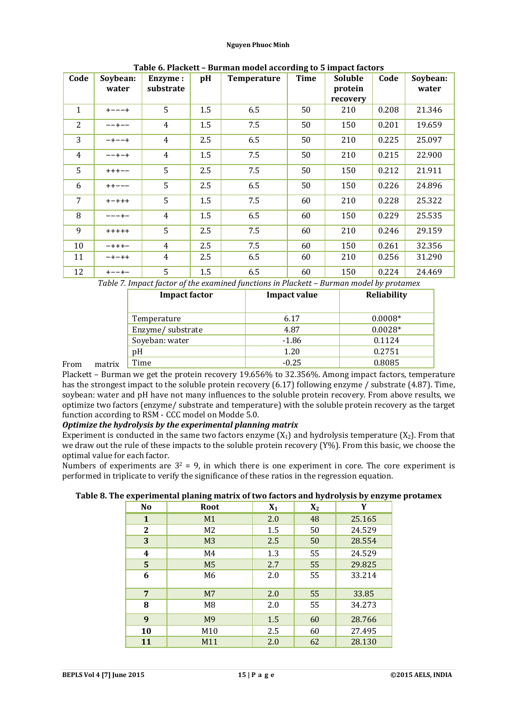| TUDIC OF HULING II<br><b>During moder according to 5 impact factors</b> |             |                |     |             |             |                |       |          |
|-------------------------------------------------------------------------|-------------|----------------|-----|-------------|-------------|----------------|-------|----------|
| Code                                                                    | Soybean:    | <b>Enzyme:</b> | pH  | Temperature | <b>Time</b> | <b>Soluble</b> | Code  | Soybean: |
|                                                                         | water       | substrate      |     |             |             | protein        |       | water    |
|                                                                         |             |                |     |             |             | recovery       |       |          |
| $\mathbf{1}$                                                            | $+ - - - +$ | 5              | 1.5 | 6.5         | 50          | 210            | 0.208 | 21.346   |
| 2                                                                       | $- - + - -$ | $\overline{4}$ | 1.5 | 7.5         | 50          | 150            | 0.201 | 19.659   |
| 3                                                                       | $-+--+$     | $\overline{4}$ | 2.5 | 6.5         | 50          | 210            | 0.225 | 25.097   |
| $\overline{4}$                                                          | $- - + - +$ | $\overline{4}$ | 1.5 | 7.5         | 50          | 210            | 0.215 | 22.900   |
| 5                                                                       | $++++-$     | 5              | 2.5 | 7.5         | 50          | 150            | 0.212 | 21.911   |
| 6                                                                       | $++---$     | 5              | 2.5 | 6.5         | 50          | 150            | 0.226 | 24.896   |
| 7                                                                       | $+ - + + +$ | 5              | 1.5 | 7.5         | 60          | 210            | 0.228 | 25.322   |
| 8                                                                       | $--- + -$   | $\overline{4}$ | 1.5 | 6.5         | 60          | 150            | 0.229 | 25.535   |
| 9                                                                       | $+++++$     | 5              | 2.5 | 7.5         | 60          | 210            | 0.246 | 29.159   |
| 10                                                                      | $- + + + -$ | $\overline{4}$ | 2.5 | 7.5         | 60          | 150            | 0.261 | 32.356   |
| 11                                                                      | $-+ - + +$  | 4              | 2.5 | 6.5         | 60          | 210            | 0.256 | 31.290   |
| 12                                                                      | $+ - - + -$ | 5              | 1.5 | 6.5         | 60          | 150            | 0.224 | 24.469   |

**Table 6. Plackett – Burman model according to 5 impact factors**

*Table 7. Impact factor of the examined functions in Plackett – Burman model by protamex*

|      |        | <b>Impact factor</b> | Impact value | Reliability |
|------|--------|----------------------|--------------|-------------|
|      |        | Temperature          | 6.17         | $0.0008*$   |
|      |        | Enzyme/substrate     | 4.87         | $0.0028*$   |
|      |        | Soyeban: water       | $-1.86$      | 0.1124      |
|      |        | pΗ                   | 1.20         | 0.2751      |
| From | matrix | Time                 | $-0.25$      | 0.8085      |

Plackett – Burman we get the protein recovery 19.656% to 32.356%. Among impact factors, temperature has the strongest impact to the soluble protein recovery (6.17) following enzyme / substrate (4.87). Time, soybean: water and pH have not many influences to the soluble protein recovery. From above results, we optimize two factors (enzyme/ substrate and temperature) with the soluble protein recovery as the target function according to RSM - CCC model on Modde 5.0.

# *Optimize the hydrolysis by the experimental planning matrix*

Experiment is conducted in the same two factors enzyme  $(X_1)$  and hydrolysis temperature  $(X_2)$ . From that we draw out the rule of these impacts to the soluble protein recovery (Y%). From this basic, we choose the optimal value for each factor.

Numbers of experiments are  $3^2 = 9$ , in which there is one experiment in core. The core experiment is performed in triplicate to verify the significance of these ratios in the regression equation.

| . .<br><b>No</b> | o<br>Root       | $X_1$ | $X_2$ | Y      |
|------------------|-----------------|-------|-------|--------|
| $\mathbf{1}$     | M1              | 2.0   | 48    | 25.165 |
| $\mathbf{2}$     | M <sub>2</sub>  | 1.5   | 50    | 24.529 |
| 3                | M <sub>3</sub>  | 2.5   | 50    | 28.554 |
| 4                | M4              | 1.3   | 55    | 24.529 |
| 5 <sup>5</sup>   | M <sub>5</sub>  | 2.7   | 55    | 29.825 |
| 6                | M6              | 2.0   | 55    | 33.214 |
| $\overline{7}$   | M <sub>7</sub>  | 2.0   | 55    | 33.85  |
| 8                | M <sub>8</sub>  | 2.0   | 55    | 34.273 |
| 9                | M <sub>9</sub>  | 1.5   | 60    | 28.766 |
| 10               | M <sub>10</sub> | 2.5   | 60    | 27.495 |
| 11               | M11             | 2.0   | 62    | 28.130 |

**Table 8. The experimental planing matrix of two factors and hydrolysis by enzyme protamex**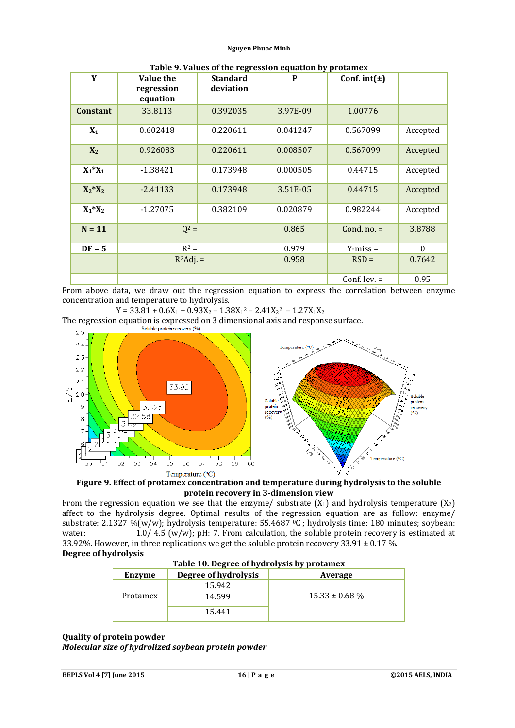| Y               | <b>Value the</b><br>regression<br>equation | <b>Standard</b><br>deviation | P        | Conf. $int(\pm)$ |                  |
|-----------------|--------------------------------------------|------------------------------|----------|------------------|------------------|
| <b>Constant</b> | 33.8113                                    | 0.392035                     | 3.97E-09 | 1.00776          |                  |
| $X_1$           | 0.602418                                   | 0.220611                     | 0.041247 | 0.567099         | Accepted         |
| $X_2$           | 0.926083                                   | 0.220611                     | 0.008507 | 0.567099         | Accepted         |
| $X_1^*X_1$      | $-1.38421$                                 | 0.173948                     | 0.000505 | 0.44715          | Accepted         |
| $X_2^*X_2$      | $-2.41133$                                 | 0.173948                     | 3.51E-05 | 0.44715          | Accepted         |
| $X_1^*X_2$      | $-1.27075$                                 | 0.382109                     | 0.020879 | 0.982244         | Accepted         |
| $N = 11$        | $Q^2 =$                                    |                              | 0.865    | Cond. $no. =$    | 3.8788           |
| $DF = 5$        | $R^2 =$                                    |                              | 0.979    | $Y-miss =$       | $\boldsymbol{0}$ |
|                 | $R^2$ Adj. =                               |                              | 0.958    | $RSD =$          | 0.7642           |
|                 |                                            |                              |          | Conf. lev. $=$   | 0.95             |

**Table 9. Values of the regression equation by protamex**

From above data, we draw out the regression equation to express the correlation between enzyme concentration and temperature to hydrolysis.

 $Y = 33.81 + 0.6X_1 + 0.93X_2 - 1.38X_1^2 - 2.41X_2^2 - 1.27X_1X_2$ 

The regression equation is expressed on 3 dimensional axis and response surface.



**Figure 9. Effect of protamex concentration and temperature during hydrolysis to the soluble protein recovery in 3-dimension view**

From the regression equation we see that the enzyme/ substrate  $(X_1)$  and hydrolysis temperature  $(X_2)$ affect to the hydrolysis degree. Optimal results of the regression equation are as follow: enzyme/ substrate: 2.1327 %(w/w); hydrolysis temperature: 55.4687 °C ; hydrolysis time: 180 minutes; soybean: water: 1.0/ 4.5 (w/w); pH: 7. From calculation, the soluble protein recovery is estimated at 33.92%. However, in three replications we get the soluble protein recovery  $33.91 \pm 0.17$ %. **Degree of hydrolysis**

|  | Table 10. Degree of hydrolysis by protamex |
|--|--------------------------------------------|
|  |                                            |

| Enzyme   | Degree of hydrolysis | Average            |
|----------|----------------------|--------------------|
|          | 15.942               |                    |
| Protamex | 14.599               | $15.33 \pm 0.68$ % |
|          | 15.441               |                    |

# **Quality of protein powder** *Molecular size of hydrolized soybean protein powder*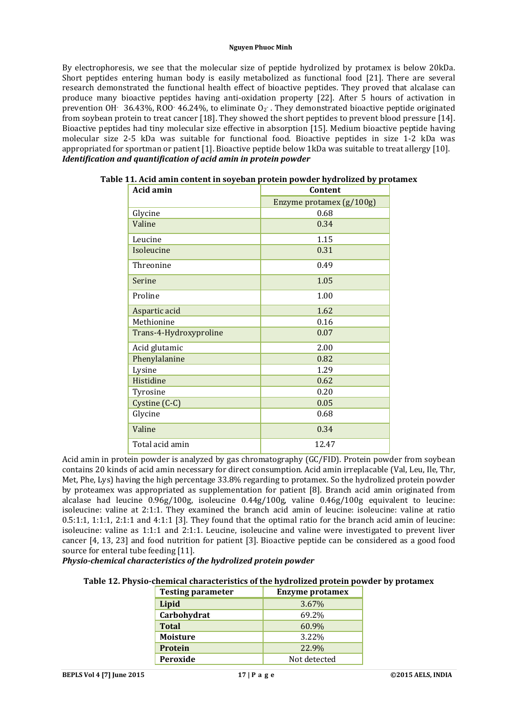By electrophoresis, we see that the molecular size of peptide hydrolized by protamex is below 20kDa. Short peptides entering human body is easily metabolized as functional food [21]. There are several research demonstrated the functional health effect of bioactive peptides. They proved that alcalase can produce many bioactive peptides having anti-oxidation property [22]. After 5 hours of activation in prevention OH $-$  36.43%, ROO $-$  46.24%, to eliminate O<sub>2</sub>. They demonstrated bioactive peptide originated from soybean protein to treat cancer [18]. They showed the short peptides to prevent blood pressure [14]. Bioactive peptides had tiny molecular size effective in absorption [15]. Medium bioactive peptide having molecular size 2-5 kDa was suitable for functional food. Bioactive peptides in size 1-2 kDa was appropriated for sportman or patient [1]. Bioactive peptide below 1kDa was suitable to treat allergy [10]. *Identification and quantification of acid amin in protein powder*

| <b>Acid amin</b>       | Content                  |
|------------------------|--------------------------|
|                        | Enzyme protamex (g/100g) |
| Glycine                | 0.68                     |
| Valine                 | 0.34                     |
| Leucine                | 1.15                     |
| Isoleucine             | 0.31                     |
| Threonine              | 0.49                     |
| Serine                 | 1.05                     |
| Proline                | 1.00                     |
| Aspartic acid          | 1.62                     |
| Methionine             | 0.16                     |
| Trans-4-Hydroxyproline | 0.07                     |
| Acid glutamic          | 2.00                     |
| Phenylalanine          | 0.82                     |
| Lysine                 | 1.29                     |
| Histidine              | 0.62                     |
| Tyrosine               | 0.20                     |
| Cystine (C-C)          | 0.05                     |
| Glycine                | 0.68                     |
| Valine                 | 0.34                     |
| Total acid amin        | 12.47                    |

**Table 11. Acid amin content in soyeban protein powder hydrolized by protamex**

Acid amin in protein powder is analyzed by gas chromatography (GC/FID). Protein powder from soybean contains 20 kinds of acid amin necessary for direct consumption. Acid amin irreplacable (Val, Leu, Ile, Thr, Met, Phe, Lys) having the high percentage 33.8% regarding to protamex. So the hydrolized protein powder by proteamex was appropriated as supplementation for patient [8]. Branch acid amin originated from alcalase had leucine 0.96g/100g, isoleucine 0.44g/100g, valine 0.46g/100g equivalent to leucine: isoleucine: valine at 2:1:1. They examined the branch acid amin of leucine: isoleucine: valine at ratio 0.5:1:1, 1:1:1, 2:1:1 and 4:1:1 [3]. They found that the optimal ratio for the branch acid amin of leucine: isoleucine: valine as 1:1:1 and 2:1:1. Leucine, isoleucine and valine were investigated to prevent liver cancer [4, 13, 23] and food nutrition for patient [3]. Bioactive peptide can be considered as a good food source for enteral tube feeding [11].

# *Physio-chemical characteristics of the hydrolized protein powder*

# **Table 12. Physio-chemical characteristics of the hydrolized protein powder by protamex**

| <b>Testing parameter</b> | <b>Enzyme protamex</b> |
|--------------------------|------------------------|
| Lipid                    | 3.67%                  |
| Carbohydrat              | 69.2%                  |
| <b>Total</b>             | 60.9%                  |
| <b>Moisture</b>          | 3.22%                  |
| Protein                  | 22.9%                  |
| Peroxide                 | Not detected           |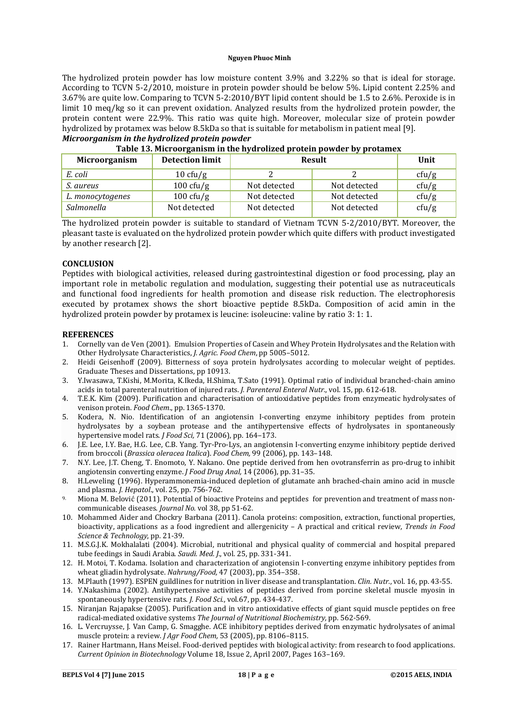The hydrolized protein powder has low moisture content 3.9% and 3.22% so that is ideal for storage. According to TCVN 5-2/2010, moisture in protein powder should be below 5%. Lipid content 2.25% and 3.67% are quite low. Comparing to TCVN 5-2:2010/BYT lipid content should be 1.5 to 2.6%. Peroxide is in limit 10 meq/kg so it can prevent oxidation. Analyzed results from the hydrolized protein powder, the protein content were 22.9%. This ratio was quite high. Moreover, molecular size of protein powder hydrolized by protamex was below 8.5kDa so that is suitable for metabolism in patient meal [9]. *Microorganism in the hydrolized protein powder*

| Table 15. Microbiganism in the hydronzed protein powder by protainex |                        |               |              |       |  |  |
|----------------------------------------------------------------------|------------------------|---------------|--------------|-------|--|--|
| Microorganism                                                        | <b>Detection limit</b> | <b>Result</b> |              | Unit  |  |  |
| E. coli                                                              | $10 \text{ cft/g}$     |               |              | cfu/g |  |  |
| <i>S. aureus</i>                                                     | $100 \text{ cfty/g}$   | Not detected  | Not detected | cfu/g |  |  |
| L. monocytogenes                                                     | $100 \text{ cfty/g}$   | Not detected  | Not detected | cfu/g |  |  |
| Salmonella                                                           | Not detected           | Not detected  | Not detected | cfu/g |  |  |

| _____ |  |                                                                      |  |
|-------|--|----------------------------------------------------------------------|--|
|       |  |                                                                      |  |
|       |  |                                                                      |  |
|       |  | Table 13. Microorganism in the hydrolized protein powder by protamex |  |

The hydrolized protein powder is suitable to standard of Vietnam TCVN 5-2/2010/BYT. Moreover, the pleasant taste is evaluated on the hydrolized protein powder which quite differs with product investigated by another research [2].

### **CONCLUSION**

Peptides with biological activities, released during gastrointestinal digestion or food processing, play an important role in metabolic regulation and modulation, suggesting their potential use as nutraceuticals and functional food ingredients for health promotion and disease risk reduction. The electrophoresis executed by protamex shows the short bioactive peptide 8.5kDa. Composition of acid amin in the hydrolized protein powder by protamex is leucine: isoleucine: valine by ratio 3: 1: 1.

#### **REFERENCES**

- 1. Cornelly van de Ven (2001). Emulsion Properties of Casein and Whey Protein Hydrolysates and the Relation with Other Hydrolysate Characteristics, *J. Agric. Food Chem*, pp 5005–5012.
- 2. Heidi Geisenhoff (2009). Bitterness of soya protein hydrolysates according to molecular weight of peptides. Graduate Theses and Dissertations, pp 10913.
- 3. Y.Iwasawa, T.Kishi, M.Morita, K.Ikeda, H.Shima, T.Sato (1991). Optimal ratio of individual branched-chain amino acids in total parenteral nutrition of injured rats. *J. Parenteral Enteral Nutr.*, vol. 15, pp. 612-618.
- 4. T.E.K. Kim (2009). Purification and characterisation of antioxidative peptides from enzymeatic hydrolysates of venison protein. *Food Chem*., pp. 1365-1370.
- 5. Kodera, N. Nio. Identification of an angiotensin I-converting enzyme inhibitory peptides from protein hydrolysates by a soybean protease and the antihypertensive effects of hydrolysates in spontaneously hypertensive model rats. *J Food Sci,* 71 (2006), pp. 164–173.
- 6. J.E. Lee, I.Y. Bae, H.G. Lee, C.B. Yang. Tyr-Pro-Lys, an angiotensin I-converting enzyme inhibitory peptide derived from broccoli (*Brassica oleracea Italica*). *Food Chem,* 99 (2006), pp. 143–148.
- 7. N.Y. Lee, J.T. Cheng, T. Enomoto, Y. Nakano. One peptide derived from hen ovotransferrin as pro-drug to inhibit angiotensin converting enzyme. *J Food Drug Anal,* 14 (2006), pp. 31–35.
- 8. H.Leweling (1996). Hyperammonemia-induced depletion of glutamate anh brached-chain amino acid in muscle and plasma. *J. Hepatol*., vol. 25, pp. 756-762.
- 9. Miona M. Belović (2011). Potential of bioactive Proteins and peptides for prevention and treatment of mass noncommunicable diseases. *Journal No.* vol 38, pp 51-62.
- 10. Mohammed Aider and Chockry Barbana (2011). Canola proteins: composition, extraction, functional properties, bioactivity, applications as a food ingredient and allergenicity – A practical and critical review, *Trends in Food Science & Technology*, pp. 21-39.
- 11. M.S.G.J.K. Mokhalalati (2004). Microbial, nutritional and physical quality of commercial and hospital prepared tube feedings in Saudi Arabia. *Saudi. Med. J.*, vol. 25, pp. 331-341.
- 12. H. Motoi, T. Kodama. Isolation and characterization of angiotensin I-converting enzyme inhibitory peptides from wheat gliadin hydrolysate. *Nahrung/Food,* 47 (2003), pp. 354–358.
- 13. M.Plauth (1997). ESPEN guildlines for nutrition in liver disease and transplantation. *Clin. Nutr.*, vol. 16, pp. 43-55.
- 14. Y.Nakashima (2002). Antihypertensive activities of peptides derived from porcine skeletal muscle myosin in spontaneously hypertensive rats. *J. Food Sci*., vol.67, pp. 434-437.
- 15. Niranjan Rajapakse (2005). Purification and in vitro antioxidative effects of giant squid muscle peptides on free radical-mediated oxidative systems *The Journal of Nutritional Biochemistry,* pp. 562-569.
- 16. L. Vercruysse, J. Van Camp, G. Smagghe. ACE inhibitory peptides derived from enzymatic hydrolysates of animal muscle protein: a review. *J Agr Food Chem,* 53 (2005), pp. 8106–8115.
- 17. Rainer Hartmann, Hans Meisel. Food-derived peptides with biological activity: from research to food applications. *Current Opinion in Biotechnology* Volume 18, Issue 2, April 2007, Pages 163–169.